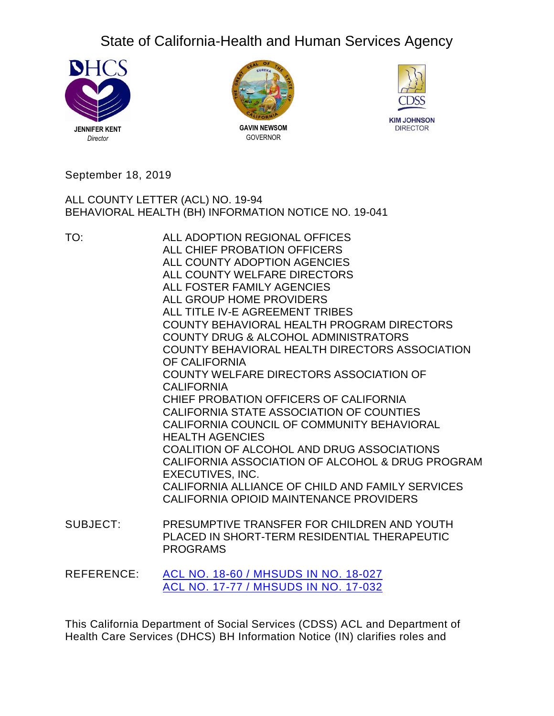# State of California-Health and Human Services Agency







September 18, 2019

ALL COUNTY LETTER (ACL) NO. 19-94 BEHAVIORAL HEALTH (BH) INFORMATION NOTICE NO. 19-041

TO: ALL ADOPTION REGIONAL OFFICES ALL CHIEF PROBATION OFFICERS ALL COUNTY ADOPTION AGENCIES ALL COUNTY WELFARE DIRECTORS ALL FOSTER FAMILY AGENCIES ALL GROUP HOME PROVIDERS ALL TITLE IV-E AGREEMENT TRIBES COUNTY BEHAVIORAL HEALTH PROGRAM DIRECTORS COUNTY DRUG & ALCOHOL ADMINISTRATORS COUNTY BEHAVIORAL HEALTH DIRECTORS ASSOCIATION OF CALIFORNIA COUNTY WELFARE DIRECTORS ASSOCIATION OF **CALIFORNIA** CHIEF PROBATION OFFICERS OF CALIFORNIA CALIFORNIA STATE ASSOCIATION OF COUNTIES CALIFORNIA COUNCIL OF COMMUNITY BEHAVIORAL HEALTH AGENCIES COALITION OF ALCOHOL AND DRUG ASSOCIATIONS CALIFORNIA ASSOCIATION OF ALCOHOL & DRUG PROGRAM EXECUTIVES, INC. CALIFORNIA ALLIANCE OF CHILD AND FAMILY SERVICES CALIFORNIA OPIOID MAINTENANCE PROVIDERS

- SUBJECT: PRESUMPTIVE TRANSFER FOR CHILDREN AND YOUTH PLACED IN SHORT-TERM RESIDENTIAL THERAPEUTIC PROGRAMS
- REFERENCE: ACL NO. 18-60 / [MHSUDS](https://www.cdss.ca.gov/Portals/9/ACL/2018/18-60.pdf?ver=2018-07-02-150836-460) IN NO. 18-027 ACL NO. 17-77 / [MHSUDS](https://www.cdss.ca.gov/Portals/9/ACL/2017/17-77.pdf?ver=2019-06-26-140453-853) IN NO. 17-032

This California Department of Social Services (CDSS) ACL and Department of Health Care Services (DHCS) BH Information Notice (IN) clarifies roles and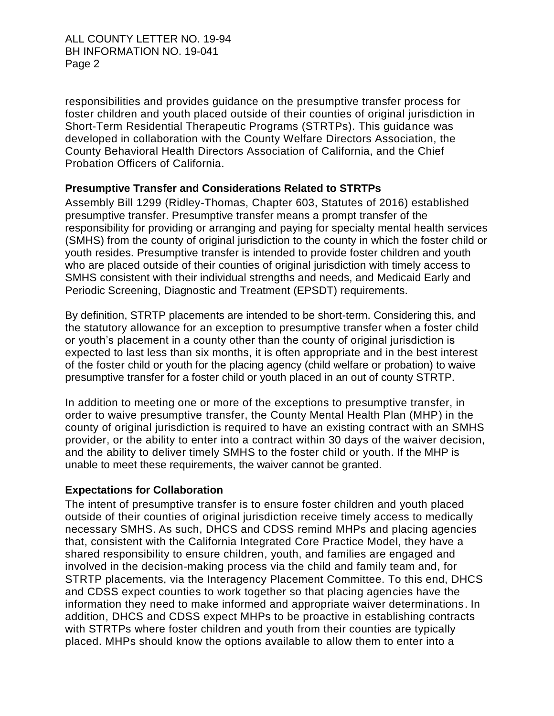ALL COUNTY LETTER NO. 19-94 BH INFORMATION NO. 19-041 Page 2

responsibilities and provides guidance on the presumptive transfer process for foster children and youth placed outside of their counties of original jurisdiction in Short-Term Residential Therapeutic Programs (STRTPs). This guidance was developed in collaboration with the County Welfare Directors Association, the County Behavioral Health Directors Association of California, and the Chief Probation Officers of California.

### **Presumptive Transfer and Considerations Related to STRTPs**

Assembly Bill 1299 (Ridley-Thomas, Chapter 603, Statutes of 2016) established presumptive transfer. Presumptive transfer means a prompt transfer of the responsibility for providing or arranging and paying for specialty mental health services (SMHS) from the county of original jurisdiction to the county in which the foster child or youth resides. Presumptive transfer is intended to provide foster children and youth who are placed outside of their counties of original jurisdiction with timely access to SMHS consistent with their individual strengths and needs, and Medicaid Early and Periodic Screening, Diagnostic and Treatment (EPSDT) requirements.

By definition, STRTP placements are intended to be short-term. Considering this, and the statutory allowance for an exception to presumptive transfer when a foster child or youth's placement in a county other than the county of original jurisdiction is expected to last less than six months, it is often appropriate and in the best interest of the foster child or youth for the placing agency (child welfare or probation) to waive presumptive transfer for a foster child or youth placed in an out of county STRTP.

In addition to meeting one or more of the exceptions to presumptive transfer, in order to waive presumptive transfer, the County Mental Health Plan (MHP) in the county of original jurisdiction is required to have an existing contract with an SMHS provider, or the ability to enter into a contract within 30 days of the waiver decision, and the ability to deliver timely SMHS to the foster child or youth. If the MHP is unable to meet these requirements, the waiver cannot be granted.

#### **Expectations for Collaboration**

The intent of presumptive transfer is to ensure foster children and youth placed outside of their counties of original jurisdiction receive timely access to medically necessary SMHS. As such, DHCS and CDSS remind MHPs and placing agencies that, consistent with the California Integrated Core Practice Model, they have a shared responsibility to ensure children, youth, and families are engaged and involved in the decision-making process via the child and family team and, for STRTP placements, via the Interagency Placement Committee. To this end, DHCS and CDSS expect counties to work together so that placing agencies have the information they need to make informed and appropriate waiver determinations. In addition, DHCS and CDSS expect MHPs to be proactive in establishing contracts with STRTPs where foster children and youth from their counties are typically placed. MHPs should know the options available to allow them to enter into a